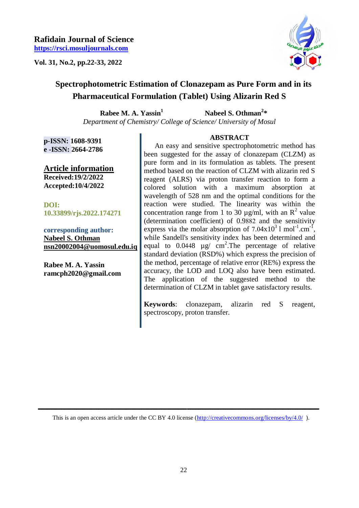**Vol. 31, No.2, pp.22-33, 2022** 



# **Spectrophotometric Estimation of Clonazepam as Pure Form and in its Pharmaceutical Formulation (Tablet) Using Alizarin Red S**

**Rabee M. A. Yassin<sup>1</sup> Nabeel S. Othman<sup>2</sup> \*** *Department of Chemistry/ College of Science/ University of Mosul*

**p-ISSN: 1608-9391 e -ISSN: 2664-2786**

**Article information Received:19/2/2022 Accepted:10/4/2022**

**DOI: 10.33899/rjs.2022.174271**

**corresponding author: Nabeel S. Othman nsn20002004@uomosul.edu.iq**

**Rabee M. A. Yassin ramcph2020@gmail.com**

# **ABSTRACT**

 An easy and sensitive spectrophotometric method has been suggested for the assay of clonazepam (CLZM) as pure form and in its formulation as tablets. The present method based on the reaction of CLZM with alizarin red S reagent (ALRS) via proton transfer reaction to form a colored solution with a maximum absorption at wavelength of 528 nm and the optimal conditions for the reaction were studied. The linearity was within the concentration range from 1 to 30  $\mu$ g/ml, with an R<sup>2</sup> value (determination coefficient) of 0.9882 and the sensitivity express via the molar absorption of  $7.04 \times 10^3$  l mol<sup>-1</sup>.cm<sup>-1</sup>, while Sandell's sensitivity index has been determined and equal to  $0.0448$  µg/ cm<sup>2</sup>. The percentage of relative standard deviation (RSD%) which express the precision of the method, percentage of relative error (RE%) express the accuracy, the LOD and LOQ also have been estimated. The application of the suggested method to the determination of CLZM in tablet gave satisfactory results.

**Keywords**: clonazepam, alizarin red S reagent, spectroscopy, proton transfer.

 **ــــــــــــــــــــــــــــــــــــــــــــــــــــــــــــــــــــــــــــــــــــــــــــــــــــــــــــــــــــــــــــــــــــــــــــــــــــــــــــــــــــــــ**  This is an open access article under the CC BY 4.0 license (http://creativecommons.org/licenses/by/4.0/).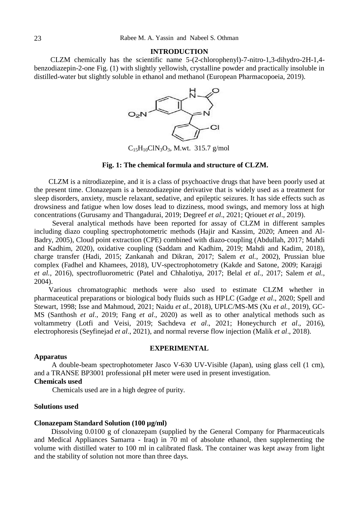#### **INTRODUCTION**

 CLZM chemically has the scientific name 5-(2-chlorophenyl)-7-nitro-1,3-dihydro-2H-1,4 benzodiazepin-2-one Fig. (1) with slightly yellowish, crystalline powder and practically insoluble in distilled-water but slightly soluble in ethanol and methanol (European Pharmacopoeia, 2019).



 $C_{15}H_{10}C1N_3O_3$ , M.wt. 315.7 g/mol

# **Fig. 1: The chemical formula and structure of CLZM.**

 CLZM is a nitrodiazepine, and it is a class of psychoactive drugs that have been poorly used at the present time. Clonazepam is a benzodiazepine derivative that is widely used as a treatment for sleep disorders, anxiety, muscle relaxant, sedative, and epileptic seizures. It has side effects such as drowsiness and fatigue when low doses lead to dizziness, mood swings, and memory loss at high concentrations (Gurusamy and Thangadurai, 2019; Degreef *et al*., 2021; Qriouet *et al*., 2019).

 Several analytical methods have been reported for assay of CLZM in different samples including diazo coupling spectrophotometric methods (Hajir and Kassim, 2020; Ameen and Al-Badry, 2005), Cloud point extraction (CPE) combined with diazo-coupling (Abdullah, 2017; Mahdi and Kadhim, 2020), oxidative coupling (Saddam and Kadhim, 2019; Mahdi and Kadim, 2018), charge transfer (Hadi, 2015; Zankanah and Dikran, 2017; Salem *et al.*, 2002), Prussian blue complex (Fadhel and Khamees, 2018), UV-spectrophotometry (Kakde and Satone, 2009; Karajgi *et al.*, 2016), spectrofluorometric (Patel and Chhalotiya, 2017; Belal *et al.*, 2017; Salem *et al.*, 2004).

 Various chromatographic methods were also used to estimate CLZM whether in pharmaceutical preparations or biological body fluids such as HPLC (Gadge *et al*., 2020; Spell and Stewart, 1998; Isse and Mahmoud, 2021; Naidu *et al.*, 2018), UPLC/MS-MS (Xu *et al.*, 2019), GC-MS (Santhosh *et al*., 2019; Fang *et al*., 2020) as well as to other analytical methods such as voltammetry (Lotfi and Veisi, 2019; Sachdeva *et al*., 2021; Honeychurch *et al*., 2016), electrophoresis (Seyfinejad *et al*., 2021), and normal reverse flow injection (Malik *et al*., 2018).

# **EXPERIMENTAL**

# **Apparatus**

A double-beam spectrophotometer Jasco V-630 UV-Visible (Japan), using glass cell (1 cm), and a TRANSE BP3001 professional pH meter were used in present investigation. **Chemicals used** 

Chemicals used are in a high degree of purity.

### **Solutions used**

#### **Clonazepam Standard Solution (100 µg/ml)**

Dissolving 0.0100 g of clonazepam (supplied by the General Company for Pharmaceuticals and Medical Appliances Samarra - Iraq) in 70 ml of absolute ethanol, then supplementing the volume with distilled water to 100 ml in calibrated flask. The container was kept away from light and the stability of solution not more than three days.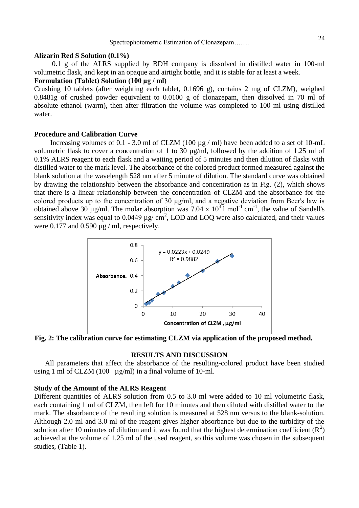#### **Alizarin Red S Solution (0.1%)**

 0.1 g of the ALRS supplied by BDH company is dissolved in distilled water in 100-ml volumetric flask, and kept in an opaque and airtight bottle, and it is stable for at least a week.

# **Formulation (Tablet) Solution (100 μg / ml)**

Crushing 10 tablets (after weighting each tablet, 0.1696 g), contains 2 mg of CLZM), weighed 0.8481g of crushed powder equivalent to 0.0100 g of clonazepam, then dissolved in 70 ml of absolute ethanol (warm), then after filtration the volume was completed to 100 ml using distilled water.

# **Procedure and Calibration Curve**

Increasing volumes of 0.1 - 3.0 ml of CLZM (100  $\mu$ g / ml) have been added to a set of 10-mL volumetric flask to cover a concentration of 1 to 30 µg/ml, followed by the addition of 1.25 ml of 0.1% ALRS reagent to each flask and a waiting period of 5 minutes and then dilution of flasks with distilled water to the mark level. The absorbance of the colored product formed measured against the blank solution at the wavelength 528 nm after 5 minute of dilution. The standard curve was obtained by drawing the relationship between the absorbance and concentration as in Fig. (2), which shows that there is a linear relationship between the concentration of CLZM and the absorbance for the colored products up to the concentration of 30 μg/ml, and a negative deviation from Beer's law is obtained above 30  $\mu$ g/ml. The molar absorption was 7.04 x  $10^3$  mol<sup>-1</sup> cm<sup>-1</sup>, the value of Sandell's sensitivity index was equal to  $0.0449 \mu g / \text{cm}^2$ , LOD and LOQ were also calculated, and their values were  $0.177$  and  $0.590 \mu g$  / ml, respectively.



**Fig. 2: The calibration curve for estimating CLZM via application of the proposed method.** 

# **RESULTS AND DISCUSSION**

 All parameters that affect the absorbance of the resulting-colored product have been studied using 1 ml of CLZM (100  $\mu$ g/ml) in a final volume of 10-ml.

#### **Study of the Amount of the ALRS Reagent**

Different quantities of ALRS solution from 0.5 to 3.0 ml were added to 10 ml volumetric flask, each containing 1 ml of CLZM, then left for 10 minutes and then diluted with distilled water to the mark. The absorbance of the resulting solution is measured at 528 nm versus to the blank-solution. Although 2.0 ml and 3.0 ml of the reagent gives higher absorbance but due to the turbidity of the solution after 10 minutes of dilution and it was found that the highest determination coefficient  $(R^2)$ achieved at the volume of 1.25 ml of the used reagent, so this volume was chosen in the subsequent studies, (Table 1).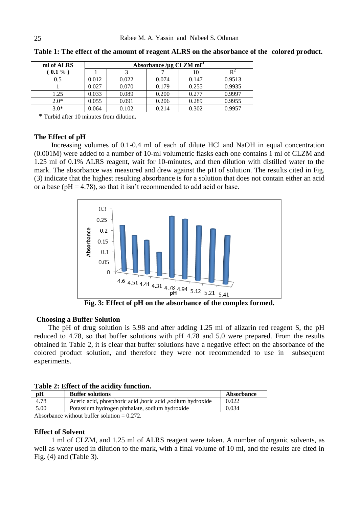| ml of ALRS |       | Absorbance / $\mu$ g CLZM ml <sup>-1</sup> |       |       |        |  |  |
|------------|-------|--------------------------------------------|-------|-------|--------|--|--|
| $(0.1\%)$  |       |                                            |       |       |        |  |  |
| 0.5        | 0.012 | 0.022                                      | 0.074 | 0.147 | 0.9513 |  |  |
|            | 0.027 | 0.070                                      | 0.179 | 0.255 | 0.9935 |  |  |
| 1.25       | 0.033 | 0.089                                      | 0.200 | 0.277 | 0.9997 |  |  |
| $2.0*$     | 0.055 | 0.091                                      | 0.206 | 0.289 | 0.9955 |  |  |
| $3.0*$     | 0.064 | 0.102                                      | 0.214 | 0.302 | 0.9957 |  |  |

**Table 1: The effect of the amount of reagent ALRS on the absorbance of the colored product.**

\* Turbid after 10 minutes from dilution.

## **The Effect of pH**

Increasing volumes of 0.1-0.4 ml of each of dilute HCl and NaOH in equal concentration (0.001M) were added to a number of 10-ml volumetric flasks each one contains 1 ml of CLZM and 1.25 ml of 0.1% ALRS reagent, wait for 10-minutes, and then dilution with distilled water to the mark. The absorbance was measured and drew against the pH of solution. The results cited in Fig. (3) indicate that the highest resulting absorbance is for a solution that does not contain either an acid or a base ( $pH = 4.78$ ), so that it isn't recommended to add acid or base.



# **Choosing a Buffer Solution**

 The pH of drug solution is 5.98 and after adding 1.25 ml of alizarin red reagent S, the pH reduced to 4.78, so that buffer solutions with pH 4.78 and 5.0 were prepared. From the results obtained in Table 2, it is clear that buffer solutions have a negative effect on the absorbance of the colored product solution, and therefore they were not recommended to use in subsequent experiments.

|  |  |  |  |  | Table 2: Effect of the acidity function. |
|--|--|--|--|--|------------------------------------------|
|--|--|--|--|--|------------------------------------------|

| pH   | <b>Buffer solutions</b>                                    | Absorbance |
|------|------------------------------------------------------------|------------|
| 4.78 | Acetic acid, phosphoric acid, boric acid, sodium hydroxide | 0.022      |
| 5.00 | Potassium hydrogen phthalate, sodium hydroxide             | 0.034      |
|      |                                                            |            |

Absorbance without buffer solution  $= 0.272$ .

# **Effect of Solvent**

1 ml of CLZM, and 1.25 ml of ALRS reagent were taken. A number of organic solvents, as well as water used in dilution to the mark, with a final volume of 10 ml, and the results are cited in Fig. (4) and (Table 3).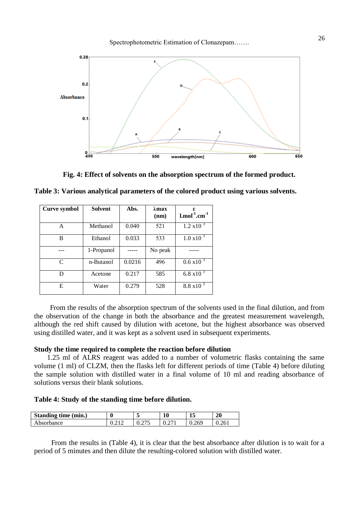

**Fig. 4: Effect of solvents on the absorption spectrum of the formed product.**

**Table 3: Various analytical parameters of the colored product using various solvents.**

| <b>Curve symbol</b>         | <b>Solvent</b> | Abs.   | $\lambda$ max<br>(nm) | $l$ , mol $^{-1}$ , cm $^{-1}$ |
|-----------------------------|----------------|--------|-----------------------|--------------------------------|
| A                           | Methanol       | 0.040  | 521                   | $1.2 \times 10^{-3}$           |
| В                           | Ethanol        | 0.033  | 533                   | $1.0 \times 10^{-3}$           |
|                             | 1-Propanol     |        | No peak               |                                |
| $\mathcal{C}_{\mathcal{C}}$ | n-Butanol      | 0.0216 | 496                   | $0.6 \times 10^{-3}$           |
| D                           | Acetone        | 0.217  | 585                   | 6.8 x10 $3$                    |
| Е                           | Water          | 0.279  | 528                   | $8.8 \times 10^{-3}$           |

 From the results of the absorption spectrum of the solvents used in the final dilution, and from the observation of the change in both the absorbance and the greatest measurement wavelength, although the red shift caused by dilution with acetone, but the highest absorbance was observed using distilled water, and it was kept as a solvent used in subsequent experiments.

# **Study the time required to complete the reaction before dilution**

1.25 ml of ALRS reagent was added to a number of volumetric flasks containing the same volume (1 ml) of CLZM, then the flasks left for different periods of time (Table 4) before diluting the sample solution with distilled water in a final volume of 10 ml and reading absorbance of solutions versus their blank solutions.

**Table 4: Study of the standing time before dilution.**

| Standing time (min.) | 0     | $\overline{\phantom{a}}$ | 10            | ┻     | 20           |
|----------------------|-------|--------------------------|---------------|-------|--------------|
| Absorbance           | U.∠1∠ | 275<br>0. <i>41</i> J    | $\sim$<br>U.Z | 0.269 | 261<br>V.401 |

From the results in (Table 4), it is clear that the best absorbance after dilution is to wait for a period of 5 minutes and then dilute the resulting-colored solution with distilled water.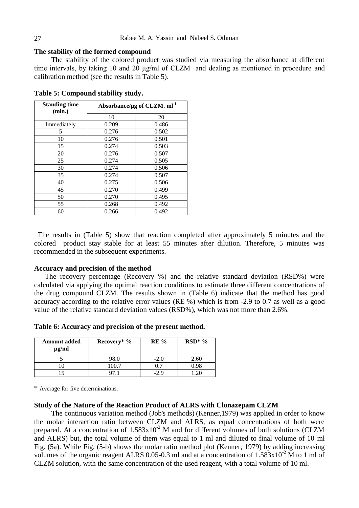# **The stability of the formed compound**

The stability of the colored product was studied via measuring the absorbance at different time intervals, by taking 10 and 20 μg/ml of CLZM and dealing as mentioned in procedure and calibration method (see the results in Table 5).

| <b>Standing time</b><br>(min.) | Absorbance/µg of CLZM. ml <sup>-1</sup> |       |  |  |
|--------------------------------|-----------------------------------------|-------|--|--|
|                                | 10                                      | 20    |  |  |
| Immediately                    | 0.209                                   | 0.486 |  |  |
| 5                              | 0.276                                   | 0.502 |  |  |
| 10                             | 0.276                                   | 0.501 |  |  |
| 15                             | 0.274                                   | 0.503 |  |  |
| 20                             | 0.276                                   | 0.507 |  |  |
| 25                             | 0.274                                   | 0.505 |  |  |
| 30                             | 0.274                                   | 0.506 |  |  |
| 35                             | 0.274                                   | 0.507 |  |  |
| 40                             | 0.275                                   | 0.506 |  |  |
| 45                             | 0.270                                   | 0.499 |  |  |
| 50                             | 0.270                                   | 0.495 |  |  |
| 55                             | 0.268                                   | 0.492 |  |  |
| 60                             | 0.266                                   | 0.492 |  |  |

**Table 5: Compound stability study.**

The results in (Table 5) show that reaction completed after approximately 5 minutes and the colored product stay stable for at least 55 minutes after dilution. Therefore, 5 minutes was recommended in the subsequent experiments.

# **Accuracy and precision of the method**

 The recovery percentage (Recovery %) and the relative standard deviation (RSD%) were calculated via applying the optimal reaction conditions to estimate three different concentrations of the drug compound CLZM. The results shown in (Table 6) indicate that the method has good accuracy according to the relative error values (RE %) which is from -2.9 to 0.7 as well as a good value of the relative standard deviation values (RSD%), which was not more than 2.6%.

**Table 6: Accuracy and precision of the present method.**

| <b>Amount added</b><br>$\mu$ g/ml | Recovery* $\%$ | $RE\%$       | $RSD^*$ % |  |
|-----------------------------------|----------------|--------------|-----------|--|
|                                   | 98.0           | $-2.0$       | 2.60      |  |
|                                   | 00.7           | ר ר          |           |  |
|                                   |                | $\partial$ 0 |           |  |

\* Average for five determinations.

## **Study of the Nature of the Reaction Product of ALRS with Clonazepam CLZM**

The continuous variation method (Job's methods) (Kenner,1979) was applied in order to know the molar interaction ratio between CLZM and ALRS, as equal concentrations of both were prepared. At a concentration of  $1.583x10^{-2}$  M and for different volumes of both solutions (CLZM and ALRS) but, the total volume of them was equal to 1 ml and diluted to final volume of 10 ml Fig. (5a). While Fig. (5-b) shows the molar ratio method plot (Kenner, 1979) by adding increasing volumes of the organic reagent ALRS 0.05-0.3 ml and at a concentration of  $1.583 \times 10^{-2}$  M to 1 ml of CLZM solution, with the same concentration of the used reagent, with a total volume of 10 ml.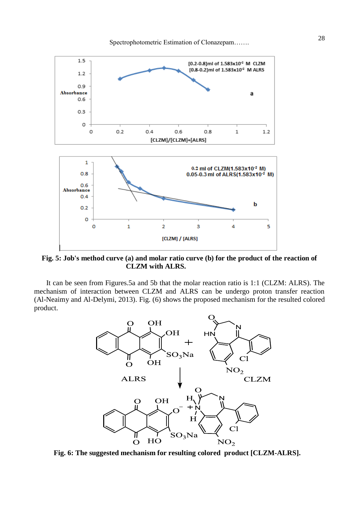

**Fig. 5: Job's method curve (a) and molar ratio curve (b) for the product of the reaction of CLZM with ALRS.** 

It can be seen from Figures.5a and 5b that the molar reaction ratio is 1:1 (CLZM: ALRS). The mechanism of interaction between CLZM and ALRS can be undergo proton transfer reaction (Al-Neaimy and Al-Delymi, 2013). Fig. (6) shows the proposed mechanism for the resulted colored product.



**Fig. 6: The suggested mechanism for resulting colored product [CLZM-ALRS].**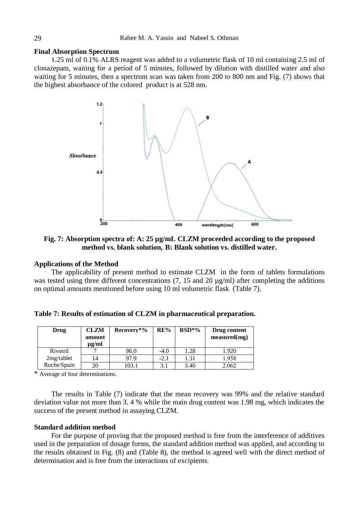# **Final Absorption Spectrum**

1.25 ml of 0.1% ALRS reagent was added to a volumetric flask of 10 ml containing 2.5 ml of clonazepam, waiting for a period of 5 minutes, followed by dilution with distilled water and also waiting for 5 minutes, then a spectrum scan was taken from 200 to 800 nm and Fig. (7) shows that the highest absorbance of the colored product is at 528 nm.



**Fig. 7: Absorption spectra of: A: 25 µg/mL CLZM proceeded according to the proposed method vs. blank solution, B: Blank solution vs. distilled water.**

# **Applications of the Method**

The applicability of present method to estimate CLZM in the form of tablets formulations was tested using three different concentrations (7, 15 and 20  $\mu$ g/ml) after completing the additions on optimal amounts mentioned before using 10 ml volumetric flask (Table 7).

| Drug        | <b>CLZM</b><br>amount<br>$\mu$ g/ml | Recovery*% | RE%    | $RSD*%$ | Drug content<br>$measured$ (mg) |
|-------------|-------------------------------------|------------|--------|---------|---------------------------------|
| Rivotril    |                                     | 96.0       | $-4.0$ | 1.28    | 1.920                           |
| 2mg/tablet  | 14                                  | 97.9       | $-2.1$ | 1.31    | 1.958                           |
| Roche/Spain | 20                                  | 103.1      | 3.1    | 3.40    | 2.062                           |

**Table 7: Results of estimation of CLZM in pharmaceutical preparation.**

\* Average of four determinations.

The results in Table (7) indicate that the mean recovery was 99% and the relative standard deviation value not more than 3. 4 % while the main drug content was 1.98 mg, which indicates the success of the present method in assaying CLZM.

#### **Standard addition method**

For the purpose of proving that the proposed method is free from the interference of additives used in the preparation of dosage forms, the standard addition method was applied, and according to the results obtained in Fig. (8) and (Table 8), the method is agreed well with the direct method of determination and is free from the interactions of excipients.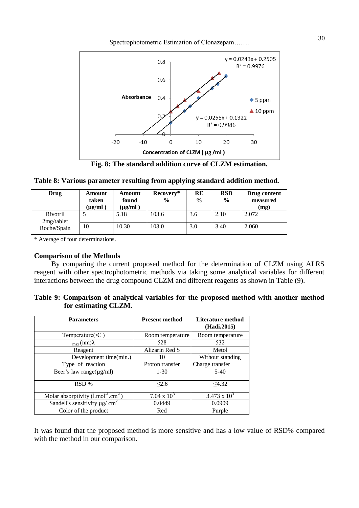Spectrophotometric Estimation of Clonazepam……. 30



**Fig. 8: The standard addition curve of CLZM estimation.**

|  | Table 8: Various parameter resulting from applying standard addition method. |  |  |  |
|--|------------------------------------------------------------------------------|--|--|--|
|  |                                                                              |  |  |  |

| Drug                   | Amount<br>taken<br>$(\mu g/ml)^2$ | Amount<br>found<br>$(\mu g/ml)$ | Recovery*<br>$\frac{0}{0}$ | <b>RE</b><br>$\frac{0}{0}$ | <b>RSD</b><br>$\frac{6}{9}$ | Drug content<br>measured<br>(mg) |
|------------------------|-----------------------------------|---------------------------------|----------------------------|----------------------------|-----------------------------|----------------------------------|
| Rivotril<br>2mg/tablet |                                   | 5.18                            | 103.6                      | 3.6                        | 2.10                        | 2.072                            |
| Roche/Spain            | 10                                | 10.30                           | 103.0                      | 3.0                        | 3.40                        | 2.060                            |

\* Average of four determinations.

# **Comparison of the Methods**

By comparing the current proposed method for the determination of CLZM using ALRS reagent with other spectrophotometric methods via taking some analytical variables for different interactions between the drug compound CLZM and different reagents as shown in Table (9).

| Table 9: Comparison of analytical variables for the proposed method with another method |  |  |  |  |
|-----------------------------------------------------------------------------------------|--|--|--|--|
| for estimating CLZM.                                                                    |  |  |  |  |

| <b>Parameters</b>                                                   | <b>Present method</b> | Literature method<br>(Hadi, 2015) |
|---------------------------------------------------------------------|-----------------------|-----------------------------------|
| Temperature( $\circ$ C)                                             | Room temperature      | Room temperature                  |
| $_{\text{max}}(nm)\lambda$                                          | 528                   | 532                               |
| Reagent                                                             | Alizarin Red S        | Metol                             |
| Development time(min.)                                              | 10                    | Without standing                  |
| Type of reaction                                                    | Proton transfer       | Charge transfer                   |
| Beer's law range( $\mu$ g/ml)                                       | $1 - 30$              | $5-40$                            |
| RSD %                                                               | $\leq 2.6$            | <4.32                             |
| Molar absorptivity $(l \cdot \text{mol}^{-1} \cdot \text{cm}^{-1})$ | 7.04 x $10^3$         | $3.473 \times 10^{3}$             |
| Sandell's sensitivity $\mu$ g/ cm <sup>2</sup>                      | 0.0449                | 0.0909                            |
| Color of the product                                                | Red                   | Purple                            |

It was found that the proposed method is more sensitive and has a low value of RSD% compared with the method in our comparison.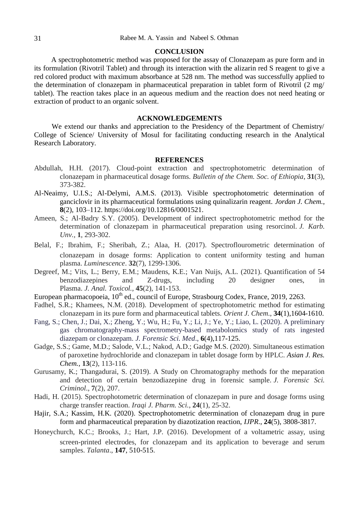## **CONCLUSION**

A spectrophotometric method was proposed for the assay of Clonazepam as pure form and in its formulation (Rivotril Tablet) and through its interaction with the alizarin red S reagent to give a red colored product with maximum absorbance at 528 nm. The method was successfully applied to the determination of clonazepam in pharmaceutical preparation in tablet form of Rivotril (2 mg/ tablet). The reaction takes place in an aqueous medium and the reaction does not need heating or extraction of product to an organic solvent.

## **ACKNOWLEDGEMENTS**

We extend our thanks and appreciation to the Presidency of the Department of Chemistry/ College of Science/ University of Mosul for facilitating conducting research in the Analytical Research Laboratory.

#### **REFERENCES**

- Abdullah, H.H. (2017). Cloud-point extraction and spectrophotometric determination of clonazepam in pharmaceutical dosage forms. *Bulletin of the Chem. Soc. of Ethiopia*, **31**(3), 373-382.
- Al-Neaimy, U.I.S.; Al-Delymi, A.M.S. (2013). Visible spectrophotometric determination of ganciclovir in its pharmaceutical formulations using quinalizarin reagent. *Jordan J. Chem.*, **8**(2), 103–112. https://doi.org/10.12816/0001521.
- Ameen, S.; Al-Badry S.Y. (2005). Development of indirect spectrophotometric method for the determination of clonazepam in pharmaceutical preparation using resorcinol. *J. Karb. Unv.,* **1**, 293-302.
- Belal, F.; Ibrahim, F.; Sheribah, Z.; Alaa, H. (2017). Spectroflourometric determination of clonazepam in dosage forms: Application to content uniformity testing and human plasma. *Luminescence*. **32**(7), 1299-1306.
- Degreef, M.; Vits, L.; Berry, E.M.; Maudens, K.E.; Van Nuijs, A.L. (2021). Quantification of 54 benzodiazepines and Z-drugs, including 20 designer ones, in Plasma. *J. Anal. Toxicol.,* **45**(2), 141-153.
- European pharmacopoeia,  $10^{th}$  ed., council of Europe, Strasbourg Codex, France, 2019, 2263.
- Fadhel, S.R.; Khamees, N.M. (2018). Development of spectrophotometric method for estimating clonazepam in its pure form and pharmaceutical tablets. *Orient J. Chem*., **34**(1),1604-1610.
- Fang, S.; Chen, J.; Dai, X.; Zheng, Y.; Wu, H.; Fu, Y.; Li, J.; Ye, Y.; Liao, L. (2020). A preliminary gas chromatography-mass spectrometry-based metabolomics study of rats ingested diazepam or clonazepam. *J. Forensic Sci. Med*., **6**(4),117-125.
- Gadge, S.S.; Game, M.D.; Salode, V.L.; Nakod, A.D.; Gadge M.S. (2020). Simultaneous estimation of paroxetine hydrochloride and clonazepam in tablet dosage form by HPLC. *Asian J. Res. Chem.,* **13**(2), 113-116.
- Gurusamy, K.; Thangadurai, S. (2019). A Study on Chromatography methods for the meparation and detection of certain benzodiazepine drug in forensic sample. *J. Forensic Sci. Criminol*., **7**(2), 207.
- Hadi, H. (2015). Spectrophotometric determination of clonazepam in pure and dosage forms using charge transfer reaction. *Iraqi J. Pharm. Sci.*, **24**(1), 25-32.
- Hajir, S.A.; Kassim, H.K. (2020). Spectrophotometric determination of clonazepam drug in pure form and pharmaceutical preparation by diazotization reaction, *IJPR*., **24**(5), 3808-3817.
- Honeychurch, K.C.; Brooks, J.; Hart, J.P. (2016). Development of a voltametric assay, using screen-printed electrodes, for clonazepam and its application to beverage and serum samples. *Talanta*., **147**, 510-515.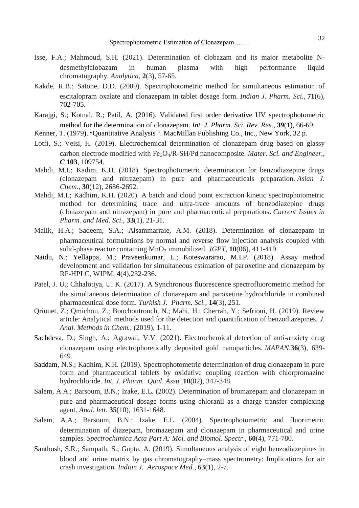- Isse, F.A.; Mahmoud, S.H. (2021). Determination of clobazam and its major metabolite Ndesmethylclobazam in human plasma with high performance liquid chromatography. *Analytica*, **2**(3), 57-65.
- Kakde, R.B.; Satone, D.D. (2009). Spectrophotometric method for simultaneous estimation of escitalopram oxalate and clonazepam in tablet dosage form. *Indian J. Pharm. Sci.,* **71**(6), 702-705.
- Karajgi, S.; Kotnal, R.; Patil, A. (2016). Validated first order derivative UV spectrophotometric method for the determination of clonazepam. *Int. J. Pharm. Sci. Rev. Res*., **39**(1), 66-69.
- Kenner, T. (1979). ״Quantitative Analysis ״. MacMillan Publishing Co., Inc., New York, 32 p.
- Lotfi, S.; Veisi, H. (2019). Electrochemical determination of clonazepam drug based on glassy carbon electrode modified with Fe3O4/R-SH/Pd nanocomposite. *Mater. Sci. and Engineer., C* **103**, 109754.
- Mahdi, M.I.; Kadim, K.H. (2018). Spectrophotometric determination for benzodiazepine drugs (clonazepam and nitrazepam) in pure and pharmaceuticals preparation. *Asian J. Chem.,* **30**(12), 2686-2692.
- Mahdi, M.I.; Kadhim, K.H. (2020). A batch and cloud point extraction kinetic spectrophotometric method for determining trace and ultra-trace amounts of benzodiazepine drugs (clonazepam and nitrazepam) in pure and pharmaceutical preparations. *Current Issues in Pharm. and Med. Sci.,* **33**(1), 21-31.
- Malik, H.A.; Sadeem, S.A.; Alsammarraie, A.M. (2018). Determination of clonazepam in pharmaceutical formulations by normal and reverse flow injection analysis coupled with solid-phase reactor containing  $MnO<sub>2</sub>$  immobilized. *JGPT*, **10**(06), 411-419.
- Naidu, N.; Yellappa, M.; Praveenkumar, L.; Koteswararao, M.I.P. (2018). Assay method development and validation for simultaneous estimation of paroxetine and clonazepam by RP-HPLC, WJPM, **4**(4),232-236.
- Patel, J. U.; Chhalotiya, U. K. (2017). A Synchronous fluorescence spectrofluorometric method for the simultaneous determination of clonazepam and paroxetine hydrochloride in combined pharmaceutical dose form. *Turkish J. Pharm. Sci.,* **14**(3), 251.
- Qriouet, Z.; Qmichou, Z.; Bouchoutrouch, N.; Mahi, H.; Cherrah, Y.; Sefrioui, H. (2019). Review article: Analytical methods used for the detection and quantification of benzodiazepines. *J. Anal. Methods in Chem.*, (2019), 1-11.
- Sachdeva, D.; Singh, A.; Agrawal, V.V. (2021). Electrochemical detection of anti-anxiety drug clonazepam using electrophoretically deposited gold nanoparticles. *MAPAN*,**36**(3), 639- 649.
- Saddam, N.S.; Kadhim, K.H. (2019). Spectrophotometric determination of drug clonazepam in pure form and pharmaceutical tablets by oxidative coupling reaction with chlorpromazine hydrochloride. *Int. J. Pharm. Qual. Assu.,***10**(02), 342-348.
- Salem, A.A.; Barsoum, B.N.; Izake, E.L. (2002). Determination of bromazepam and clonazepam in pure and pharmaceutical dosage forms using chloranil as a charge transfer complexing agent. *Anal. lett*. **35**(10), 1631-1648.
- Salem, A.A.; Barsoum, B.N.; Izake, E.L. (2004). Spectrophotometric and fluorimetric determination of diazepam, bromazepam and clonazepam in pharmaceutical and urine samples. *Spectrochimica Acta Part A: Mol. and Biomol. Spectr*., **60**(4), 771-780.
- Santhosh, S.R.; Sampath, S.; Gupta, A. (2019). Simultaneous analysis of eight benzodiazepines in blood and urine matrix by gas chromatography–mass spectrometry: Implications for air crash investigation. *Indian J. Aerospace Med.,* **63**(1), 2-7.